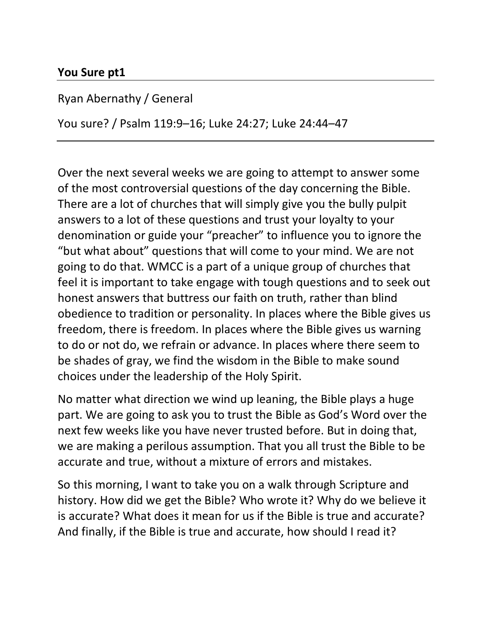#### **You Sure pt1**

Ryan Abernathy / General

You sure? / Psalm 119:9–16; Luke 24:27; Luke 24:44–47

Over the next several weeks we are going to attempt to answer some of the most controversial questions of the day concerning the Bible. There are a lot of churches that will simply give you the bully pulpit answers to a lot of these questions and trust your loyalty to your denomination or guide your "preacher" to influence you to ignore the "but what about" questions that will come to your mind. We are not going to do that. WMCC is a part of a unique group of churches that feel it is important to take engage with tough questions and to seek out honest answers that buttress our faith on truth, rather than blind obedience to tradition or personality. In places where the Bible gives us freedom, there is freedom. In places where the Bible gives us warning to do or not do, we refrain or advance. In places where there seem to be shades of gray, we find the wisdom in the Bible to make sound choices under the leadership of the Holy Spirit.

No matter what direction we wind up leaning, the Bible plays a huge part. We are going to ask you to trust the Bible as God's Word over the next few weeks like you have never trusted before. But in doing that, we are making a perilous assumption. That you all trust the Bible to be accurate and true, without a mixture of errors and mistakes.

So this morning, I want to take you on a walk through Scripture and history. How did we get the Bible? Who wrote it? Why do we believe it is accurate? What does it mean for us if the Bible is true and accurate? And finally, if the Bible is true and accurate, how should I read it?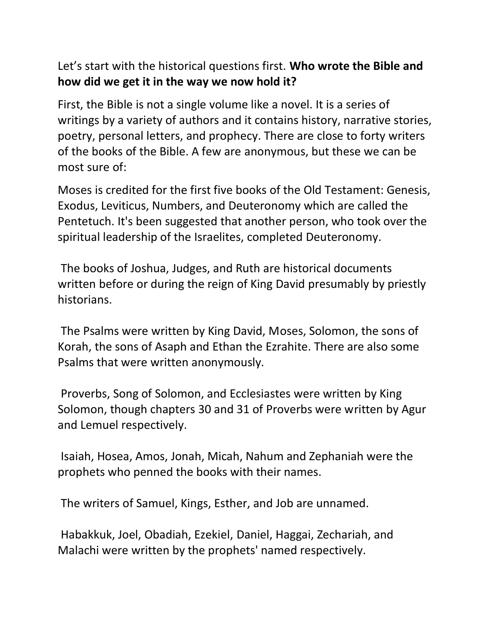Let's start with the historical questions first. **Who wrote the Bible and how did we get it in the way we now hold it?**

First, the Bible is not a single volume like a novel. It is a series of writings by a variety of authors and it contains history, narrative stories, poetry, personal letters, and prophecy. There are close to forty writers of the books of the Bible. A few are anonymous, but these we can be most sure of:

Moses is credited for the first five books of the Old Testament: Genesis, Exodus, Leviticus, Numbers, and Deuteronomy which are called the Pentetuch. It's been suggested that another person, who took over the spiritual leadership of the Israelites, completed Deuteronomy.

The books of Joshua, Judges, and Ruth are historical documents written before or during the reign of King David presumably by priestly historians.

The Psalms were written by King David, Moses, Solomon, the sons of Korah, the sons of Asaph and Ethan the Ezrahite. There are also some Psalms that were written anonymously.

Proverbs, Song of Solomon, and Ecclesiastes were written by King Solomon, though chapters 30 and 31 of Proverbs were written by Agur and Lemuel respectively.

Isaiah, Hosea, Amos, Jonah, Micah, Nahum and Zephaniah were the prophets who penned the books with their names.

The writers of Samuel, Kings, Esther, and Job are unnamed.

Habakkuk, Joel, Obadiah, Ezekiel, Daniel, Haggai, Zechariah, and Malachi were written by the prophets' named respectively.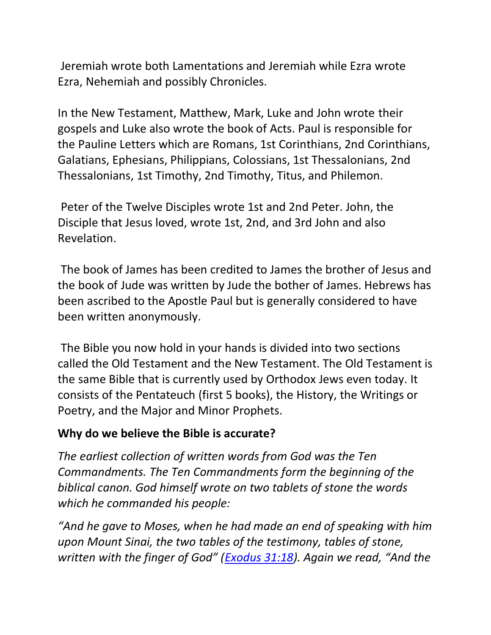Jeremiah wrote both Lamentations and Jeremiah while Ezra wrote Ezra, Nehemiah and possibly Chronicles.

In the New Testament, Matthew, Mark, Luke and John wrote their gospels and Luke also wrote the book of Acts. Paul is responsible for the Pauline Letters which are Romans, 1st Corinthians, 2nd Corinthians, Galatians, Ephesians, Philippians, Colossians, 1st Thessalonians, 2nd Thessalonians, 1st Timothy, 2nd Timothy, Titus, and Philemon.

Peter of the Twelve Disciples wrote 1st and 2nd Peter. John, the Disciple that Jesus loved, wrote 1st, 2nd, and 3rd John and also Revelation.

The book of James has been credited to James the brother of Jesus and the book of Jude was written by Jude the bother of James. Hebrews has been ascribed to the Apostle Paul but is generally considered to have been written anonymously.

The Bible you now hold in your hands is divided into two sections called the Old Testament and the New Testament. The Old Testament is the same Bible that is currently used by Orthodox Jews even today. It consists of the Pentateuch (first 5 books), the History, the Writings or Poetry, and the Major and Minor Prophets.

### **Why do we believe the Bible is accurate?**

*The earliest collection of written words from God was the Ten Commandments. The Ten Commandments form the beginning of the biblical canon. God himself wrote on two tablets of stone the words which he commanded his people:*

*"And he gave to Moses, when he had made an end of speaking with him upon Mount Sinai, the two tables of the testimony, tables of stone, written with the finger of God" ([Exodus 31:18](https://ref.ly/logosref/BibleESV.Ex31.18)). Again we read, "And the*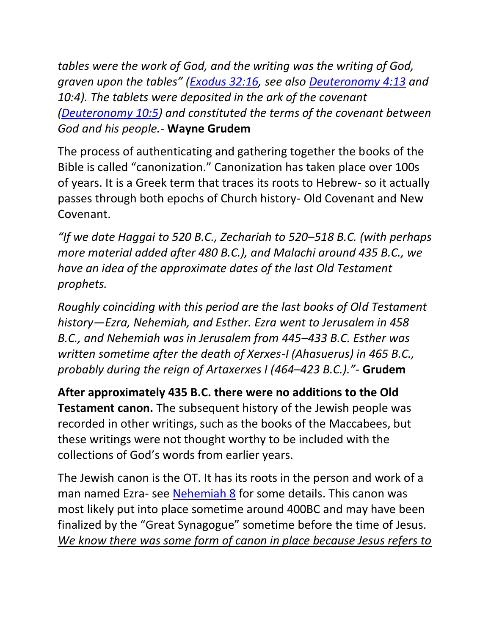*tables were the work of God, and the writing was the writing of God, graven upon the tables" ([Exodus 32:16,](https://ref.ly/logosref/BibleESV.Ex32.16) see also [Deuteronomy 4:13](https://ref.ly/logosref/BibleESV.Dt4.13) and 10:4). The tablets were deposited in the ark of the covenant [\(Deuteronomy 10:5\)](https://ref.ly/logosref/BibleESV.Dt10.5) and constituted the terms of the covenant between God and his people.-* **Wayne Grudem**

The process of authenticating and gathering together the books of the Bible is called "canonization." Canonization has taken place over 100s of years. It is a Greek term that traces its roots to Hebrew- so it actually passes through both epochs of Church history- Old Covenant and New Covenant.

*"If we date Haggai to 520 B.C., Zechariah to 520–518 B.C. (with perhaps more material added after 480 B.C.), and Malachi around 435 B.C., we have an idea of the approximate dates of the last Old Testament prophets.*

*Roughly coinciding with this period are the last books of Old Testament history—Ezra, Nehemiah, and Esther. Ezra went to Jerusalem in 458 B.C., and Nehemiah was in Jerusalem from 445–433 B.C. Esther was written sometime after the death of Xerxes-I (Ahasuerus) in 465 B.C., probably during the reign of Artaxerxes I (464–423 B.C.)."-* **Grudem**

**After approximately 435 B.C. there were no additions to the Old Testament canon.** The subsequent history of the Jewish people was recorded in other writings, such as the books of the Maccabees, but these writings were not thought worthy to be included with the collections of God's words from earlier years.

The Jewish canon is the OT. It has its roots in the person and work of a man named Ezra- see [Nehemiah 8](https://ref.ly/logosref/BibleESV.Ne8) for some details. This canon was most likely put into place sometime around 400BC and may have been finalized by the "Great Synagogue" sometime before the time of Jesus. *We know there was some form of canon in place because Jesus refers to*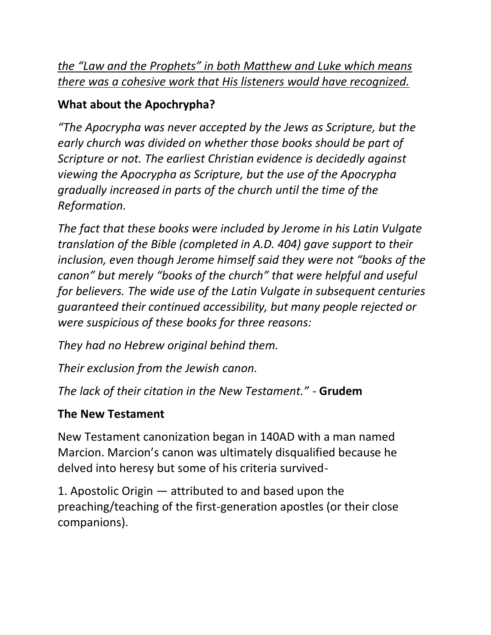*the "Law and the Prophets" in both Matthew and Luke which means there was a cohesive work that His listeners would have recognized.*

## **What about the Apochrypha?**

*"The Apocrypha was never accepted by the Jews as Scripture, but the early church was divided on whether those books should be part of Scripture or not. The earliest Christian evidence is decidedly against viewing the Apocrypha as Scripture, but the use of the Apocrypha gradually increased in parts of the church until the time of the Reformation.*

*The fact that these books were included by Jerome in his Latin Vulgate translation of the Bible (completed in A.D. 404) gave support to their inclusion, even though Jerome himself said they were not "books of the canon" but merely "books of the church" that were helpful and useful for believers. The wide use of the Latin Vulgate in subsequent centuries guaranteed their continued accessibility, but many people rejected or were suspicious of these books for three reasons:*

*They had no Hebrew original behind them.*

*Their exclusion from the Jewish canon.*

*The lack of their citation in the New Testament."* - **Grudem**

# **The New Testament**

New Testament canonization began in 140AD with a man named Marcion. Marcion's canon was ultimately disqualified because he delved into heresy but some of his criteria survived-

1. Apostolic Origin — attributed to and based upon the preaching/teaching of the first-generation apostles (or their close companions).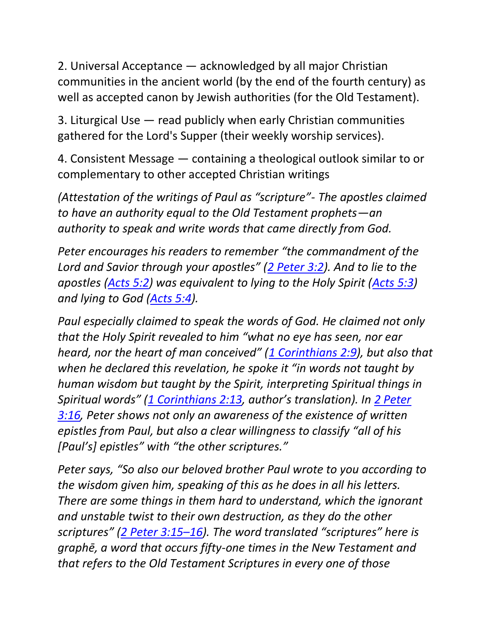2. Universal Acceptance — acknowledged by all major Christian communities in the ancient world (by the end of the fourth century) as well as accepted canon by Jewish authorities (for the Old Testament).

3. Liturgical Use — read publicly when early Christian communities gathered for the Lord's Supper (their weekly worship services).

4. Consistent Message — containing a theological outlook similar to or complementary to other accepted Christian writings

*(Attestation of the writings of Paul as "scripture"- The apostles claimed to have an authority equal to the Old Testament prophets—an authority to speak and write words that came directly from God.*

*Peter encourages his readers to remember "the commandment of the Lord and Savior through your apostles" ([2 Peter 3:2\)](https://ref.ly/logosref/BibleESV.2Pe3.2). And to lie to the apostles [\(Acts 5:2\)](https://ref.ly/logosref/BibleESV.Ac5.2) was equivalent to lying to the Holy Spirit [\(Acts 5:3\)](https://ref.ly/logosref/BibleESV.Ac5.3) and lying to God [\(Acts 5:4\)](https://ref.ly/logosref/BibleESV.Ac5.4).*

*Paul especially claimed to speak the words of God. He claimed not only that the Holy Spirit revealed to him "what no eye has seen, nor ear heard, nor the heart of man conceived" ([1 Corinthians 2:9\)](https://ref.ly/logosref/BibleESV.1Co2.9), but also that when he declared this revelation, he spoke it "in words not taught by human wisdom but taught by the Spirit, interpreting Spiritual things in Spiritual words" ([1 Corinthians 2:13](https://ref.ly/logosref/BibleESV.1Co2.13), author's translation). In [2 Peter](https://ref.ly/logosref/BibleESV.2Pe3.16)  [3:16,](https://ref.ly/logosref/BibleESV.2Pe3.16) Peter shows not only an awareness of the existence of written epistles from Paul, but also a clear willingness to classify "all of his [Paul's] epistles" with "the other scriptures."*

*Peter says, "So also our beloved brother Paul wrote to you according to the wisdom given him, speaking of this as he does in all his letters. There are some things in them hard to understand, which the ignorant and unstable twist to their own destruction, as they do the other scriptures" ([2 Peter 3:15](https://ref.ly/logosref/BibleESV.2Pe3.15-16)–16). The word translated "scriptures" here is graphē, a word that occurs fifty-one times in the New Testament and that refers to the Old Testament Scriptures in every one of those*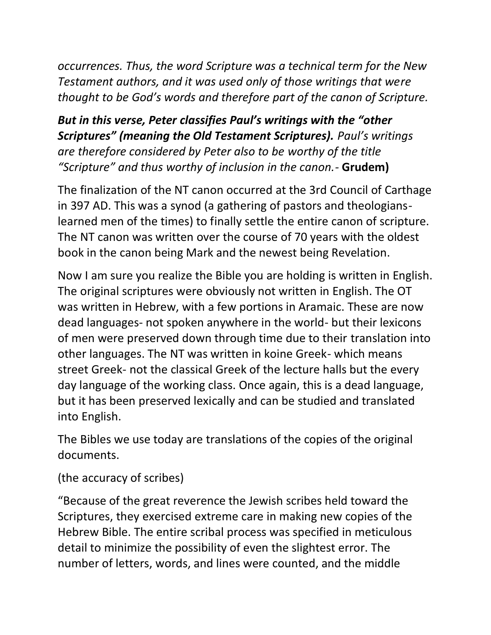*occurrences. Thus, the word Scripture was a technical term for the New Testament authors, and it was used only of those writings that were thought to be God's words and therefore part of the canon of Scripture.*

*But in this verse, Peter classifies Paul's writings with the "other Scriptures" (meaning the Old Testament Scriptures). Paul's writings are therefore considered by Peter also to be worthy of the title "Scripture" and thus worthy of inclusion in the canon.-* **Grudem)**

The finalization of the NT canon occurred at the 3rd Council of Carthage in 397 AD. This was a synod (a gathering of pastors and theologianslearned men of the times) to finally settle the entire canon of scripture. The NT canon was written over the course of 70 years with the oldest book in the canon being Mark and the newest being Revelation.

Now I am sure you realize the Bible you are holding is written in English. The original scriptures were obviously not written in English. The OT was written in Hebrew, with a few portions in Aramaic. These are now dead languages- not spoken anywhere in the world- but their lexicons of men were preserved down through time due to their translation into other languages. The NT was written in koine Greek- which means street Greek- not the classical Greek of the lecture halls but the every day language of the working class. Once again, this is a dead language, but it has been preserved lexically and can be studied and translated into English.

The Bibles we use today are translations of the copies of the original documents.

(the accuracy of scribes)

"Because of the great reverence the Jewish scribes held toward the Scriptures, they exercised extreme care in making new copies of the Hebrew Bible. The entire scribal process was specified in meticulous detail to minimize the possibility of even the slightest error. The number of letters, words, and lines were counted, and the middle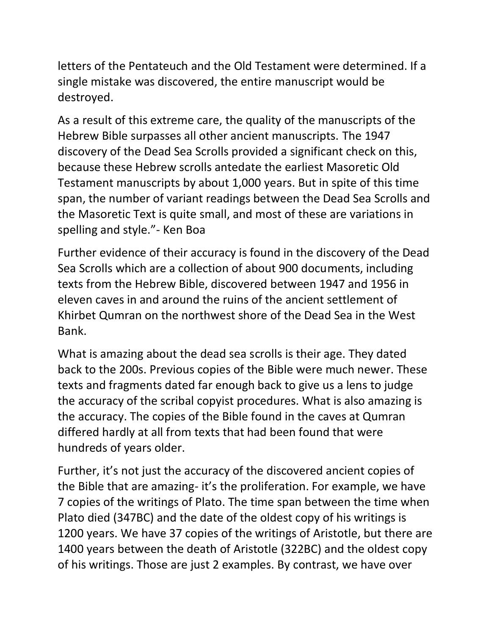letters of the Pentateuch and the Old Testament were determined. If a single mistake was discovered, the entire manuscript would be destroyed.

As a result of this extreme care, the quality of the manuscripts of the Hebrew Bible surpasses all other ancient manuscripts. The 1947 discovery of the Dead Sea Scrolls provided a significant check on this, because these Hebrew scrolls antedate the earliest Masoretic Old Testament manuscripts by about 1,000 years. But in spite of this time span, the number of variant readings between the Dead Sea Scrolls and the Masoretic Text is quite small, and most of these are variations in spelling and style."- Ken Boa

Further evidence of their accuracy is found in the discovery of the Dead Sea Scrolls which are a collection of about 900 documents, including texts from the Hebrew Bible, discovered between 1947 and 1956 in eleven caves in and around the ruins of the ancient settlement of Khirbet Qumran on the northwest shore of the Dead Sea in the West Bank.

What is amazing about the dead sea scrolls is their age. They dated back to the 200s. Previous copies of the Bible were much newer. These texts and fragments dated far enough back to give us a lens to judge the accuracy of the scribal copyist procedures. What is also amazing is the accuracy. The copies of the Bible found in the caves at Qumran differed hardly at all from texts that had been found that were hundreds of years older.

Further, it's not just the accuracy of the discovered ancient copies of the Bible that are amazing- it's the proliferation. For example, we have 7 copies of the writings of Plato. The time span between the time when Plato died (347BC) and the date of the oldest copy of his writings is 1200 years. We have 37 copies of the writings of Aristotle, but there are 1400 years between the death of Aristotle (322BC) and the oldest copy of his writings. Those are just 2 examples. By contrast, we have over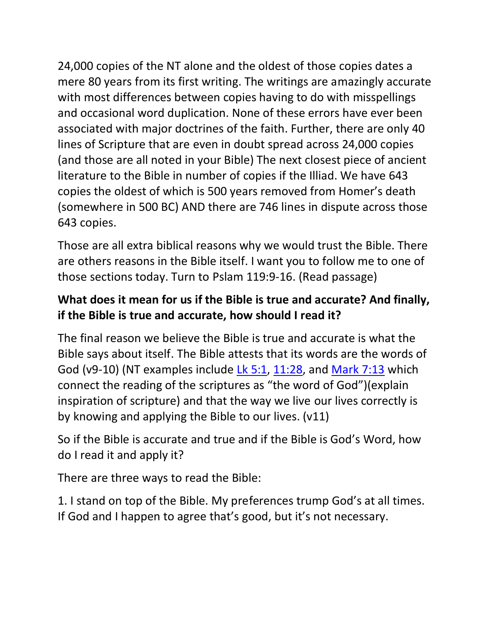24,000 copies of the NT alone and the oldest of those copies dates a mere 80 years from its first writing. The writings are amazingly accurate with most differences between copies having to do with misspellings and occasional word duplication. None of these errors have ever been associated with major doctrines of the faith. Further, there are only 40 lines of Scripture that are even in doubt spread across 24,000 copies (and those are all noted in your Bible) The next closest piece of ancient literature to the Bible in number of copies if the Illiad. We have 643 copies the oldest of which is 500 years removed from Homer's death (somewhere in 500 BC) AND there are 746 lines in dispute across those 643 copies.

Those are all extra biblical reasons why we would trust the Bible. There are others reasons in the Bible itself. I want you to follow me to one of those sections today. Turn to Pslam 119:9-16. (Read passage)

### **What does it mean for us if the Bible is true and accurate? And finally, if the Bible is true and accurate, how should I read it?**

The final reason we believe the Bible is true and accurate is what the Bible says about itself. The Bible attests that its words are the words of God (v9-10) (NT examples include [Lk 5:1,](https://ref.ly/logosref/BibleESV.Lk5.1) [11:28,](https://ref.ly/logosref/BibleESV.Lk11.28) and [Mark 7:13](https://ref.ly/logosref/BibleESV.Mk7.13) which connect the reading of the scriptures as "the word of God")(explain inspiration of scripture) and that the way we live our lives correctly is by knowing and applying the Bible to our lives. (v11)

So if the Bible is accurate and true and if the Bible is God's Word, how do I read it and apply it?

There are three ways to read the Bible:

1. I stand on top of the Bible. My preferences trump God's at all times. If God and I happen to agree that's good, but it's not necessary.